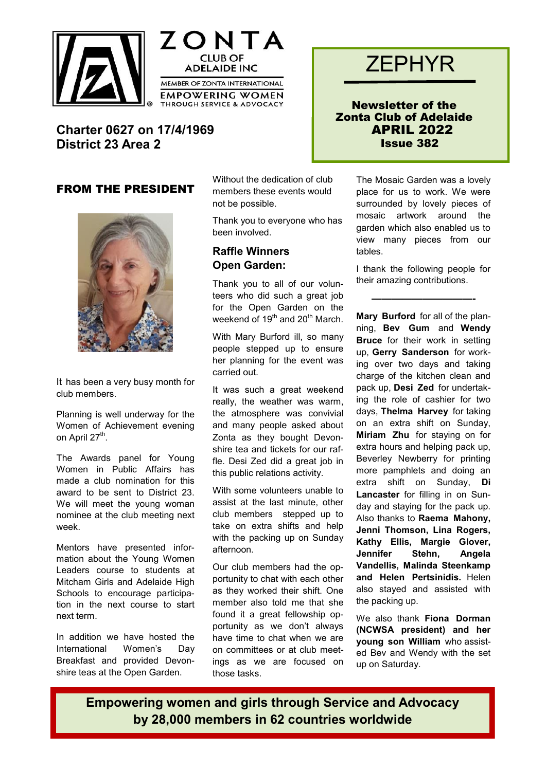





Newsletter of the Zonta Club of Adelaide APRIL 2022 Issue 382

# **Charter 0627 on 17/4/1969 District 23 Area 2**

### FROM THE PRESIDENT



It has been a very busy month for club members.

Planning is well underway for the Women of Achievement evening on April 27<sup>th</sup>.

The Awards panel for Young Women in Public Affairs has made a club nomination for this award to be sent to District 23. We will meet the young woman nominee at the club meeting next week.

Mentors have presented information about the Young Women Leaders course to students at Mitcham Girls and Adelaide High Schools to encourage participation in the next course to start next term.

In addition we have hosted the International Women's Day Breakfast and provided Devonshire teas at the Open Garden.

Without the dedication of club members these events would not be possible.

Thank you to everyone who has been involved.

### **Raffle Winners Open Garden:**

Thank you to all of our volunteers who did such a great job for the Open Garden on the weekend of 19<sup>th</sup> and 20<sup>th</sup> March.

With Mary Burford ill, so many people stepped up to ensure her planning for the event was carried out.

It was such a great weekend really, the weather was warm, the atmosphere was convivial and many people asked about Zonta as they bought Devonshire tea and tickets for our raffle. Desi Zed did a great job in this public relations activity.

With some volunteers unable to assist at the last minute, other club members stepped up to take on extra shifts and help with the packing up on Sunday afternoon.

Our club members had the opportunity to chat with each other as they worked their shift. One member also told me that she found it a great fellowship opportunity as we don't always have time to chat when we are on committees or at club meetings as we are focused on those tasks.

The Mosaic Garden was a lovely place for us to work. We were surrounded by lovely pieces of mosaic artwork around the garden which also enabled us to view many pieces from our tables.

I thank the following people for their amazing contributions.

 **——————————-**

**Mary Burford** for all of the planning, **Bev Gum** and **Wendy Bruce** for their work in setting up, **Gerry Sanderson** for working over two days and taking charge of the kitchen clean and pack up, **Desi Zed** for undertaking the role of cashier for two days, **Thelma Harvey** for taking on an extra shift on Sunday, **Miriam Zhu** for staying on for extra hours and helping pack up, Beverley Newberry for printing more pamphlets and doing an extra shift on Sunday, **Di Lancaster** for filling in on Sunday and staying for the pack up. Also thanks to **Raema Mahony, Jenni Thomson, Lina Rogers, Kathy Ellis, Margie Glover, Jennifer Stehn, Angela Vandellis, Malinda Steenkamp and Helen Pertsinidis.** Helen also stayed and assisted with the packing up.

We also thank **Fiona Dorman (NCWSA president) and her young son William** who assisted Bev and Wendy with the set up on Saturday.

**Empowering women and girls through Service and Advocacy by 28,000 members in 62 countries worldwide**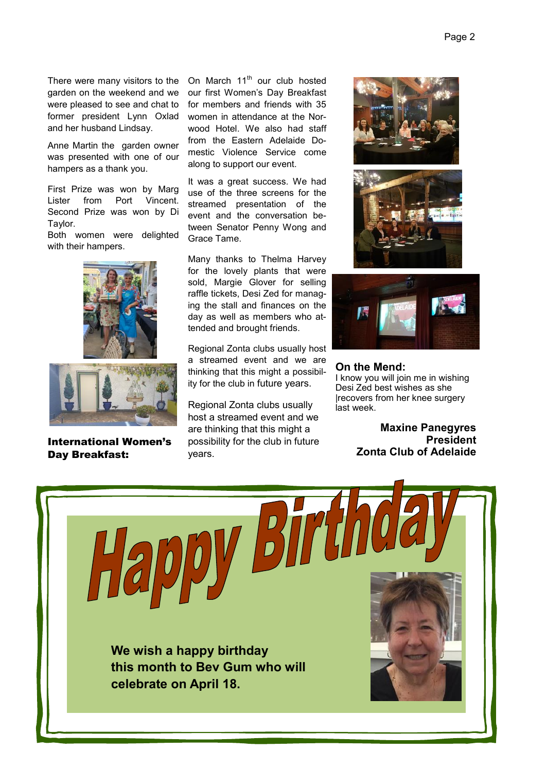There were many visitors to the garden on the weekend and we were pleased to see and chat to former president Lynn Oxlad and her husband Lindsay.

Anne Martin the garden owner was presented with one of our hampers as a thank you.

First Prize was won by Marg Lister from Port Vincent. Second Prize was won by Di Taylor.

Both women were delighted with their hampers.





International Women's Day Breakfast:

On March 11<sup>th</sup> our club hosted our first Women's Day Breakfast for members and friends with 35 women in attendance at the Norwood Hotel. We also had staff from the Eastern Adelaide Domestic Violence Service come along to support our event.

It was a great success. We had use of the three screens for the streamed presentation of the event and the conversation between Senator Penny Wong and Grace Tame.

Many thanks to Thelma Harvey for the lovely plants that were sold, Margie Glover for selling raffle tickets, Desi Zed for managing the stall and finances on the day as well as members who attended and brought friends.

Regional Zonta clubs usually host a streamed event and we are thinking that this might a possibility for the club in future years.

Regional Zonta clubs usually host a streamed event and we are thinking that this might a possibility for the club in future years.







#### **On the Mend:**

I know you will join me in wishing Desi Zed best wishes as she |recovers from her knee surgery last week.

> **Maxine Panegyres President Zonta Club of Adelaide**

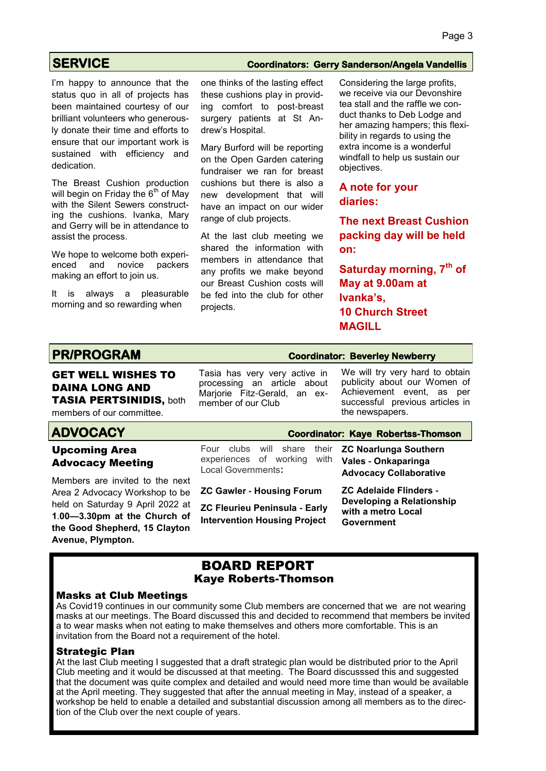### **SERVICE Coordinators: Gerry Sanderson/Angela Vandellis**

I'm happy to announce that the status quo in all of projects has been maintained courtesy of our brilliant volunteers who generously donate their time and efforts to ensure that our important work is sustained with efficiency and dedication.

The Breast Cushion production will begin on Friday the  $6<sup>th</sup>$  of May with the Silent Sewers constructing the cushions. Ivanka, Mary and Gerry will be in attendance to assist the process.

We hope to welcome both experienced and novice packers making an effort to join us.

It is always a pleasurable morning and so rewarding when

one thinks of the lasting effect these cushions play in providing comfort to post-breast surgery patients at St Andrew's Hospital.

Mary Burford will be reporting on the Open Garden catering fundraiser we ran for breast cushions but there is also a new development that will have an impact on our wider range of club projects.

At the last club meeting we shared the information with members in attendance that any profits we make beyond our Breast Cushion costs will be fed into the club for other projects.

Considering the large profits, we receive via our Devonshire tea stall and the raffle we conduct thanks to Deb Lodge and her amazing hampers; this flexibility in regards to using the extra income is a wonderful windfall to help us sustain our objectives.

#### **A note for your diaries:**

**The next Breast Cushion packing day will be held on:**

**Saturday morning, 7th of May at 9.00am at Ivanka's, 10 Church Street MAGILL**

# **PR/PROGRAM Coordinator: Beverley Newberry**

# GET WELL WISHES TO DAINA LONG AND TASIA PERTSINIDIS, both

members of our committee.

### **ADVOCACY Coordinator: Kaye Robertss-Thomson**

#### Upcoming Area Advocacy Meeting

Members are invited to the next Area 2 Advocacy Workshop to be held on Saturday 9 April 2022 at **1**.**00—3.30pm at the Church of the Good Shepherd, 15 Clayton Avenue, Plympton.**

# processing an article about Marjorie Fitz-Gerald, an exmember of our Club

Local Governments**:**

Tasia has very very active in

We will try very hard to obtain publicity about our Women of Achievement event, as per successful previous articles in the newspapers.

Four clubs will share their experiences of working with **ZC Noarlunga Southern Vales - Onkaparinga Advocacy Collaborative** 

> **ZC Adelaide Flinders - Developing a Relationship with a metro Local Government**

### BOARD REPORT Kaye Roberts-Thomson

**ZC Gawler - Housing Forum ZC Fleurieu Peninsula - Early Intervention Housing Project** 

#### Masks at Club Meetings

As Covid19 continues in our community some Club members are concerned that we are not wearing masks at our meetings. The Board discussed this and decided to recommend that members be invited a to wear masks when not eating to make themselves and others more comfortable. This is an invitation from the Board not a requirement of the hotel.

#### Strategic Plan

At the last Club meeting I suggested that a draft strategic plan would be distributed prior to the April Club meeting and it would be discussed at that meeting. The Board discusssed this and suggested that the document was quite complex and detailed and would need more time than would be available at the April meeting. They suggested that after the annual meeting in May, instead of a speaker, a workshop be held to enable a detailed and substantial discussion among all members as to the direction of the Club over the next couple of years.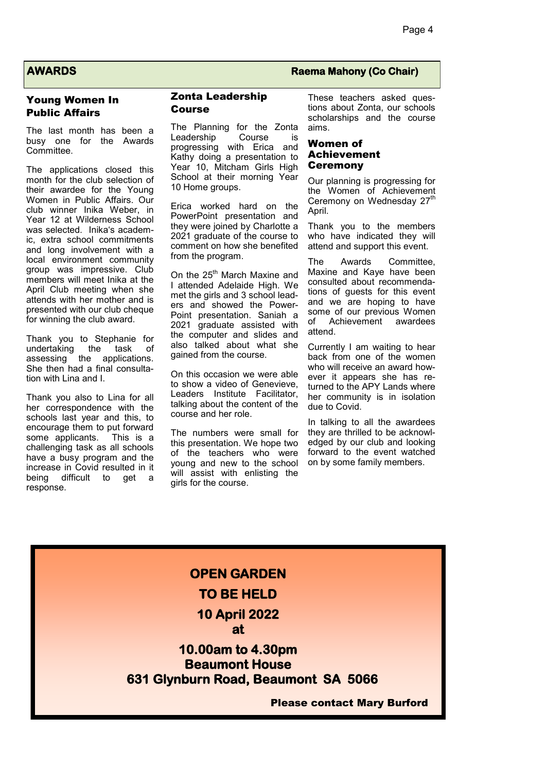#### Young Women In Public Affairs

The last month has been a busy one for the Awards Committee.

The applications closed this month for the club selection of their awardee for the Young Women in Public Affairs. Our club winner Inika Weber, in Year 12 at Wilderness School was selected. Inika's academic, extra school commitments and long involvement with a local environment community group was impressive. Club members will meet Inika at the April Club meeting when she attends with her mother and is presented with our club cheque for winning the club award.

Thank you to Stephanie for undertaking the task of assessing the applications. She then had a final consultation with Lina and I.

Thank you also to Lina for all her correspondence with the schools last year and this, to encourage them to put forward<br>some applicants. This is a some applicants. challenging task as all schools have a busy program and the increase in Covid resulted in it being difficult to get a response.

#### Zonta Leadership Course

The Planning for the Zonta Leadership Course is progressing with Erica and Kathy doing a presentation to Year 10. Mitcham Girls High School at their morning Year 10 Home groups.

Erica worked hard on the PowerPoint presentation and they were joined by Charlotte a 2021 graduate of the course to comment on how she benefited from the program.

On the 25<sup>th</sup> March Maxine and I attended Adelaide High. We met the girls and 3 school leaders and showed the Power-Point presentation. Saniah a 2021 graduate assisted with the computer and slides and also talked about what she gained from the course.

On this occasion we were able to show a video of Genevieve, Leaders Institute Facilitator, talking about the content of the course and her role.

The numbers were small for this presentation. We hope two of the teachers who were young and new to the school will assist with enlisting the girls for the course.

#### **AWARDS Raema Mahony (Co Chair)**

These teachers asked questions about Zonta, our schools scholarships and the course aims.

#### Women of Achievement **Ceremony**

Our planning is progressing for the Women of Achievement Ceremony on Wednesday 27<sup>th</sup> April.

Thank you to the members who have indicated they will attend and support this event.

The Awards Committee, Maxine and Kaye have been consulted about recommendations of guests for this event and we are hoping to have some of our previous Women of Achievement awardees attend.

Currently I am waiting to hear back from one of the women who will receive an award however it appears she has returned to the APY Lands where her community is in isolation due to Covid.

In talking to all the awardees they are thrilled to be acknowledged by our club and looking forward to the event watched on by some family members.

# **OPEN GARDEN TO BE HELD 10 April 2022 at 10.00am to 4.30pm Beaumont House 631 Glynburn Road, Beaumont SA 5066** Please contact Mary Burford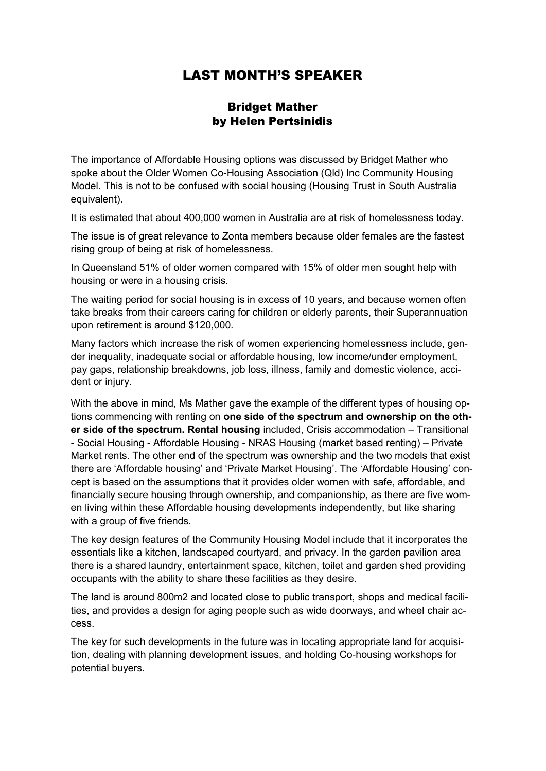# LAST MONTH'S SPEAKER

### Bridget Mather by Helen Pertsinidis

The importance of Affordable Housing options was discussed by Bridget Mather who spoke about the Older Women Co-Housing Association (Qld) Inc Community Housing Model. This is not to be confused with social housing (Housing Trust in South Australia equivalent).

It is estimated that about 400,000 women in Australia are at risk of homelessness today.

The issue is of great relevance to Zonta members because older females are the fastest rising group of being at risk of homelessness.

In Queensland 51% of older women compared with 15% of older men sought help with housing or were in a housing crisis.

The waiting period for social housing is in excess of 10 years, and because women often take breaks from their careers caring for children or elderly parents, their Superannuation upon retirement is around \$120,000.

Many factors which increase the risk of women experiencing homelessness include, gender inequality, inadequate social or affordable housing, low income/under employment, pay gaps, relationship breakdowns, job loss, illness, family and domestic violence, accident or injury.

With the above in mind, Ms Mather gave the example of the different types of housing options commencing with renting on **one side of the spectrum and ownership on the other side of the spectrum. Rental housing** included, Crisis accommodation – Transitional - Social Housing - Affordable Housing - NRAS Housing (market based renting) – Private Market rents. The other end of the spectrum was ownership and the two models that exist there are 'Affordable housing' and 'Private Market Housing'. The 'Affordable Housing' concept is based on the assumptions that it provides older women with safe, affordable, and financially secure housing through ownership, and companionship, as there are five women living within these Affordable housing developments independently, but like sharing with a group of five friends.

The key design features of the Community Housing Model include that it incorporates the essentials like a kitchen, landscaped courtyard, and privacy. In the garden pavilion area there is a shared laundry, entertainment space, kitchen, toilet and garden shed providing occupants with the ability to share these facilities as they desire.

The land is around 800m2 and located close to public transport, shops and medical facilities, and provides a design for aging people such as wide doorways, and wheel chair access.

The key for such developments in the future was in locating appropriate land for acquisition, dealing with planning development issues, and holding Co-housing workshops for potential buyers.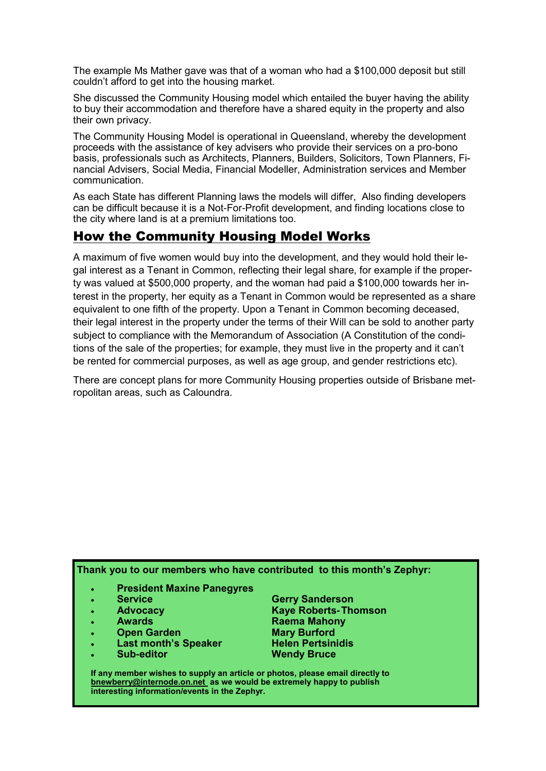The example Ms Mather gave was that of a woman who had a \$100,000 deposit but still couldn't afford to get into the housing market.

She discussed the Community Housing model which entailed the buyer having the ability to buy their accommodation and therefore have a shared equity in the property and also their own privacy.

The Community Housing Model is operational in Queensland, whereby the development proceeds with the assistance of key advisers who provide their services on a pro-bono basis, professionals such as Architects, Planners, Builders, Solicitors, Town Planners, Financial Advisers, Social Media, Financial Modeller, Administration services and Member communication.

As each State has different Planning laws the models will differ, Also finding developers can be difficult because it is a Not-For-Profit development, and finding locations close to the city where land is at a premium limitations too.

# How the Community Housing Model Works

A maximum of five women would buy into the development, and they would hold their legal interest as a Tenant in Common, reflecting their legal share, for example if the property was valued at \$500,000 property, and the woman had paid a \$100,000 towards her interest in the property, her equity as a Tenant in Common would be represented as a share equivalent to one fifth of the property. Upon a Tenant in Common becoming deceased, their legal interest in the property under the terms of their Will can be sold to another party subject to compliance with the Memorandum of Association (A Constitution of the conditions of the sale of the properties; for example, they must live in the property and it can't be rented for commercial purposes, as well as age group, and gender restrictions etc).

There are concept plans for more Community Housing properties outside of Brisbane metropolitan areas, such as Caloundra.

**Thank you to our members who have contributed to this month's Zephyr:**

- **President Maxine Panegyres**
- 
- 
- 
- 
- **Last month's Speaker**
- 

 **Service Gerry Sanderson Advocacy Kaye Roberts-Thomson Awards Raema Mahony Open Garden**<br> **Last month's Speaker**<br> **Mary Burford Helen Pertsinidis Sub-editor Wendy Bruce**

**If any member wishes to supply an article or photos, please email directly to bnewberry@internode.on.net as we would be extremely happy to publish interesting information/events in the Zephyr.**